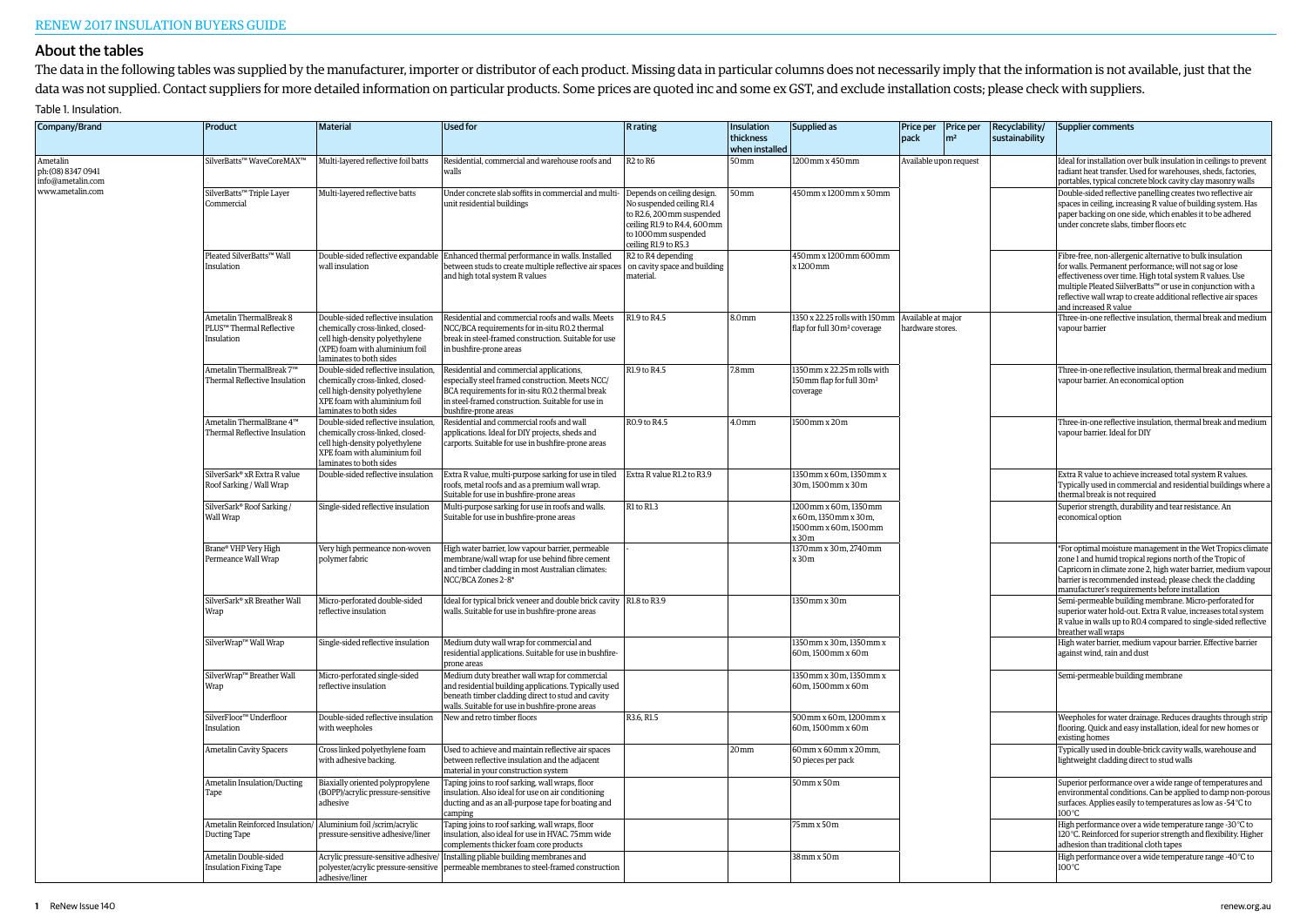## About the tables

The data in the following tables was supplied by the manufacturer, importer or distributor of each product. Missing data in particular columns does not necessarily imply that the information is not available, just that the data was not supplied. Contact suppliers for more detailed information on particular products. Some prices are quoted inc and some ex GST, and exclude installation costs; please check with suppliers.

## Table 1. Insulation.

| Company/Brand                                       | Product                                                                       | <b>Material</b>                                                                                                                                                       | <b>Used for</b>                                                                                                                                                                                                              | <b>R</b> rating                                                                                                                                                     | Insulation<br>thickness<br>when installed | Supplied as                                                                        | Price per   Price per<br>pack          | m <sup>2</sup> | Recyclability/<br>sustainability                                                                     | Supplier comments                                                                                                                                                                                                                                                                                                                          |
|-----------------------------------------------------|-------------------------------------------------------------------------------|-----------------------------------------------------------------------------------------------------------------------------------------------------------------------|------------------------------------------------------------------------------------------------------------------------------------------------------------------------------------------------------------------------------|---------------------------------------------------------------------------------------------------------------------------------------------------------------------|-------------------------------------------|------------------------------------------------------------------------------------|----------------------------------------|----------------|------------------------------------------------------------------------------------------------------|--------------------------------------------------------------------------------------------------------------------------------------------------------------------------------------------------------------------------------------------------------------------------------------------------------------------------------------------|
| Ametalin<br>ph: (08) 8347 0941<br>info@ametalin.com | SilverBatts™ WaveCoreMAX™                                                     | Multi-layered reflective foil batts                                                                                                                                   | Residential, commercial and warehouse roofs and<br>walls                                                                                                                                                                     | R <sub>2</sub> to R <sub>6</sub>                                                                                                                                    | 50mm                                      | 1200 mm x 450 mm                                                                   | Available upon request                 |                |                                                                                                      | Ideal for installation over bulk insulation in ceilings to prevent<br>radiant heat transfer. Used for warehouses, sheds, factories,<br>portables, typical concrete block cavity clay masonry walls                                                                                                                                         |
| www.ametalin.com                                    | SilverBatts™ Triple Layer<br>Commercial                                       | Multi-layered reflective batts                                                                                                                                        | Under concrete slab soffits in commercial and multi-<br>unit residential buildings                                                                                                                                           | Depends on ceiling design.<br>No suspended ceiling R1.4<br>to R2.6, 200 mm suspended<br>ceiling R1.9 to R4.4, 600 mm<br>to 1000mm suspended<br>ceiling R1.9 to R5.3 | $50 \,\mathrm{mm}$                        | 450mm x 1200mm x 50mm                                                              |                                        |                |                                                                                                      | Double-sided reflective panelling creates two reflective air<br>spaces in ceiling, increasing R value of building system. Has<br>paper backing on one side, which enables it to be adhered<br>under concrete slabs, timber floors etc                                                                                                      |
|                                                     | Pleated SilverBatts™ Wall<br>Insulation                                       | wall insulation                                                                                                                                                       | Double-sided reflective expandable Enhanced thermal performance in walls. Installed<br>between studs to create multiple reflective air spaces on cavity space and building<br>and high total system R values                 | R <sub>2</sub> to R <sub>4</sub> depending<br>material.                                                                                                             |                                           | 450mm x 1200mm 600mm<br>x1200mm                                                    |                                        |                |                                                                                                      | Fibre-free, non-allergenic alternative to bulk insulation<br>for walls. Permanent performance; will not sag or lose<br>effectiveness over time. High total system R values. Use<br>multiple Pleated SiilverBatts™ or use in conjunction with a<br>reflective wall wrap to create additional reflective air spaces<br>and increased R value |
|                                                     | Ametalin ThermalBreak 8<br>PLUS™ Thermal Reflective<br>Insulation             | Double-sided reflective insulation<br>chemically cross-linked, closed-<br>cell high-density polyethylene<br>(XPE) foam with aluminium foil<br>laminates to both sides | Residential and commercial roofs and walls. Meets<br>NCC/BCA requirements for in-situ R0.2 thermal<br>break in steel-framed construction. Suitable for use<br>in bushfire-prone areas                                        | R1.9 to R4.5                                                                                                                                                        | 8.0 <sub>mm</sub>                         | 1350 x 22.25 rolls with 150mm<br>flap for full 30m <sup>2</sup> coverage           | Available at major<br>hardware stores. |                |                                                                                                      | Three-in-one reflective insulation, thermal break and medium<br>vapour barrier                                                                                                                                                                                                                                                             |
|                                                     | Ametalin ThermalBreak 7™<br>Thermal Reflective Insulation                     | Double-sided reflective insulation,<br>chemically cross-linked, closed-<br>cell high-density polyethylene<br>XPE foam with aluminium foil<br>laminates to both sides  | Residential and commercial applications,<br>especially steel framed construction. Meets NCC/<br>BCA requirements for in-situ RO.2 thermal break<br>in steel-framed construction. Suitable for use in<br>bushfire-prone areas | R1.9 to R4.5                                                                                                                                                        | $7.8 \,\mathrm{mm}$                       | 1350 mm x 22.25 m rolls with<br>150 mm flap for full 30 m <sup>2</sup><br>coverage |                                        |                | Three-in-one reflective insulation, thermal break and medium<br>vapour barrier. An economical option |                                                                                                                                                                                                                                                                                                                                            |
|                                                     | Ametalin ThermalBrane 4™<br>Thermal Reflective Insulation                     | Double-sided reflective insulation,<br>chemically cross-linked, closed-<br>cell high-density polyethylene<br>XPE foam with aluminium foil<br>laminates to both sides  | Residential and commercial roofs and wall<br>applications. Ideal for DIY projects, sheds and<br>carports. Suitable for use in bushfire-prone areas                                                                           | R0.9 to R4.5                                                                                                                                                        | 4.0 <sub>mm</sub>                         | 1500mm x 20m                                                                       |                                        |                |                                                                                                      | Three-in-one reflective insulation, thermal break and medium<br>vapour barrier. Ideal for DIY                                                                                                                                                                                                                                              |
|                                                     | SilverSark® xR Extra R value<br>Roof Sarking / Wall Wrap                      | Double-sided reflective insulation                                                                                                                                    | Extra R value, multi-purpose sarking for use in tiled<br>roofs, metal roofs and as a premium wall wrap.<br>Suitable for use in bushfire-prone areas                                                                          | Extra R value R1.2 to R3.9                                                                                                                                          |                                           | 1350 mm x 60 m, 1350 mm x<br>30m, 1500mm x 30m                                     |                                        |                |                                                                                                      | Extra R value to achieve increased total system R values.<br>Typically used in commercial and residential buildings where a<br>thermal break is not required                                                                                                                                                                               |
|                                                     | SilverSark® Roof Sarking /<br>Wall Wrap                                       | Single-sided reflective insulation                                                                                                                                    | Multi-purpose sarking for use in roofs and walls.<br>Suitable for use in bushfire-prone areas                                                                                                                                | R1 to R1.3                                                                                                                                                          |                                           | 1200mm x 60m, 1350mm<br>x 60m, 1350mm x 30m,<br>1500mm x 60m, 1500mm<br>x 30m      |                                        |                |                                                                                                      | Superior strength, durability and tear resistance. An<br>economical option                                                                                                                                                                                                                                                                 |
|                                                     | Brane® VHP Very High<br>Permeance Wall Wrap                                   | Very high permeance non-woven<br>polymer fabric                                                                                                                       | High water barrier, low vapour barrier, permeable<br>membrane/wall wrap for use behind fibre cement<br>and timber cladding in most Australian climates:<br>NCC/BCA Zones 2-8*                                                |                                                                                                                                                                     |                                           | 1370mm x 30m, 2740mm<br>x 30m                                                      |                                        |                |                                                                                                      | *For optimal moisture management in the Wet Tropics climate<br>zone 1 and humid tropical regions north of the Tropic of<br>Capricorn in climate zone 2, high water barrier, medium vapour<br>barrier is recommended instead; please check the cladding<br>manufacturer's requirements before installation                                  |
|                                                     | SilverSark <sup>®</sup> xR Breather Wall<br>Wrap                              | Micro-perforated double-sided<br>reflective insulation                                                                                                                | Ideal for typical brick veneer and double brick cavity R1.8 to R3.9<br>walls. Suitable for use in bushfire-prone areas                                                                                                       |                                                                                                                                                                     |                                           | 1350mm x 30m                                                                       |                                        |                |                                                                                                      | Semi-permeable building membrane. Micro-perforated for<br>superior water hold-out. Extra R value, increases total system<br>R value in walls up to R0.4 compared to single-sided reflective<br>breather wall wraps                                                                                                                         |
|                                                     | SilverWrap™ Wall Wrap                                                         | Single-sided reflective insulation                                                                                                                                    | Medium duty wall wrap for commercial and<br>residential applications. Suitable for use in bushfire-<br>prone areas                                                                                                           |                                                                                                                                                                     |                                           | 1350 mm x 30 m, 1350 mm x<br>60m.1500mm x 60m                                      |                                        |                |                                                                                                      | High water barrier, medium vapour barrier. Effective barrier<br>against wind, rain and dust                                                                                                                                                                                                                                                |
|                                                     | SilverWrap™ Breather Wall<br>Wrap                                             | Micro-perforated single-sided<br>reflective insulation                                                                                                                | Medium duty breather wall wrap for commercial<br>and residential building applications. Typically used<br>beneath timber cladding direct to stud and cavity<br>walls. Suitable for use in bushfire-prone areas               |                                                                                                                                                                     |                                           | 1350 mm x 30 m, 1350 mm x<br>60m, 1500mm x 60m                                     |                                        |                |                                                                                                      | Semi-permeable building membrane                                                                                                                                                                                                                                                                                                           |
|                                                     | SilverFloor™ Underfloor<br>Insulation                                         | Double-sided reflective insulation<br>with weepholes                                                                                                                  | New and retro timber floors                                                                                                                                                                                                  | R3.6, R1.5                                                                                                                                                          |                                           | 500 mm x 60 m, 1200 mm x<br>60m.1500mm x 60m                                       |                                        |                |                                                                                                      | Weepholes for water drainage. Reduces draughts through strip<br>flooring. Quick and easy installation, ideal for new homes or<br>existing homes                                                                                                                                                                                            |
|                                                     | <b>Ametalin Cavity Spacers</b>                                                | Cross linked polyethylene foam<br>with adhesive backing.                                                                                                              | Used to achieve and maintain reflective air spaces<br>between reflective insulation and the adjacent<br>material in your construction system                                                                                 |                                                                                                                                                                     | 20 <sub>mm</sub>                          | 60mm x 60mm x 20mm,<br>50 pieces per pack                                          |                                        |                |                                                                                                      | Typically used in double-brick cavity walls, warehouse and<br>lightweight cladding direct to stud walls                                                                                                                                                                                                                                    |
|                                                     | Ametalin Insulation/Ducting<br>Tape                                           | Biaxially oriented polypropylene<br>(BOPP)/acrylic pressure-sensitive<br>adhesive                                                                                     | Taping joins to roof sarking, wall wraps, floor<br>insulation. Also ideal for use on air conditioning<br>ducting and as an all-purpose tape for boating and<br>camping                                                       |                                                                                                                                                                     |                                           | 50mm x 50m                                                                         |                                        |                |                                                                                                      | Superior performance over a wide range of temperatures and<br>environmental conditions. Can be applied to damp non-porous<br>surfaces. Applies easily to temperatures as low as -54 °C to<br>$100^{\circ}$ C                                                                                                                               |
|                                                     | Ametalin Reinforced Insulation/ Aluminium foil /scrim/acrylic<br>Ducting Tape | pressure-sensitive adhesive/liner                                                                                                                                     | Taping joins to roof sarking, wall wraps, floor<br>insulation, also ideal for use in HVAC. 75mm wide<br>complements thicker foam core products                                                                               |                                                                                                                                                                     |                                           | 75mm x 50m                                                                         |                                        |                |                                                                                                      | High performance over a wide temperature range -30°C to<br>120°C. Reinforced for superior strength and flexibility. Higher<br>adhesion than traditional cloth tapes                                                                                                                                                                        |
|                                                     | Ametalin Double-sided<br><b>Insulation Fixing Tape</b>                        | Acrylic pressure-sensitive adhesive/<br>polyester/acrylic pressure-sensitive<br>adhesive/liner                                                                        | Installing pliable building membranes and<br>permeable membranes to steel-framed construction                                                                                                                                |                                                                                                                                                                     |                                           | 38mm x 50m                                                                         |                                        |                |                                                                                                      | High performance over a wide temperature range -40°C to<br>$100^{\circ}$ C                                                                                                                                                                                                                                                                 |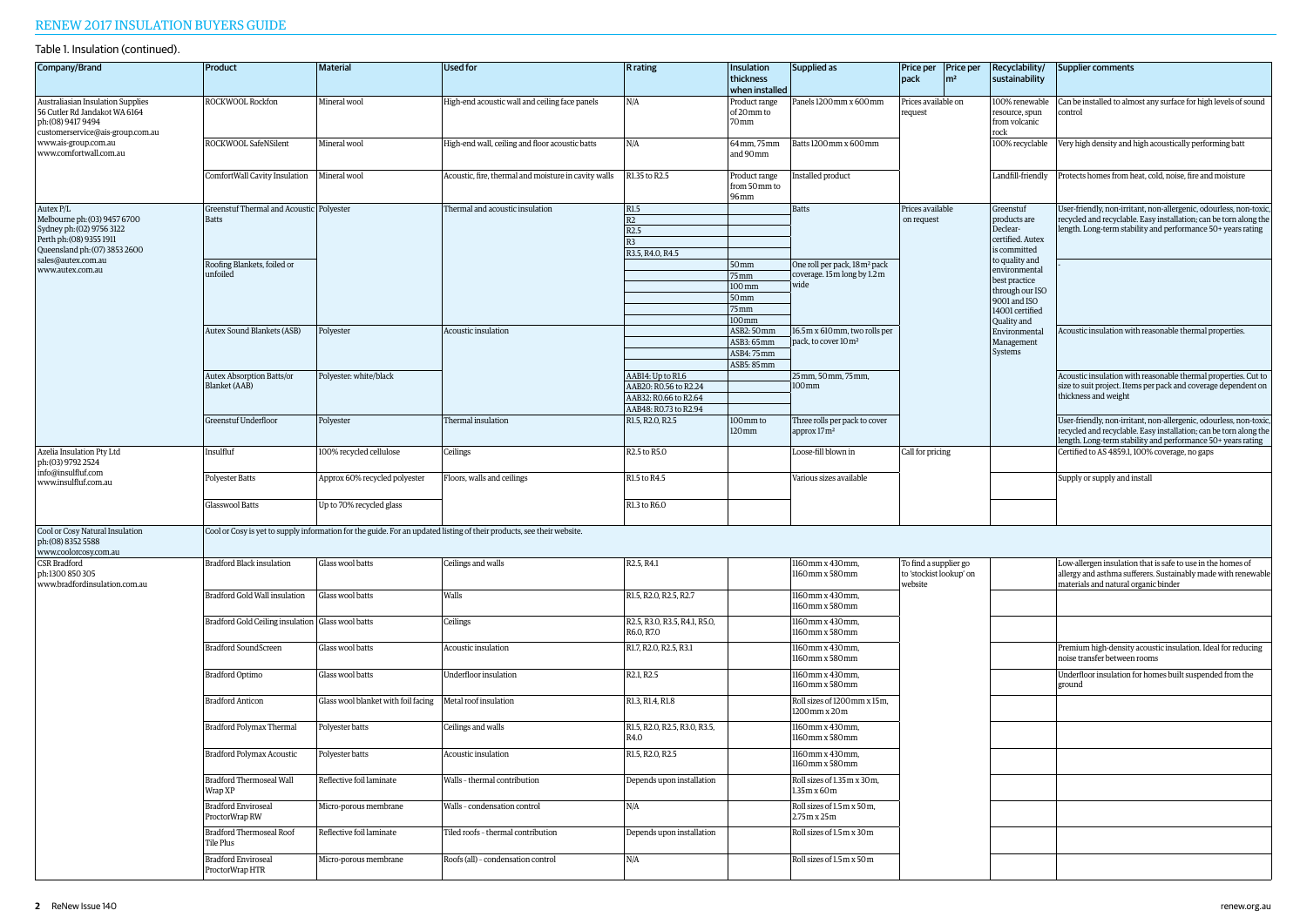| Company/Brand                                                                                                                                                                  | Product                                           | <b>Material</b>                     | <b>Used for</b>                                                                                                       | <b>R</b> rating                             | Insulation<br>thickness<br>when installed | Supplied as                                              | Price per   Price per<br>pack<br>$\mathsf{Im}^2$            | Recyclability/<br>sustainability                          | Supplier comments                                                                                                                                                                                      |
|--------------------------------------------------------------------------------------------------------------------------------------------------------------------------------|---------------------------------------------------|-------------------------------------|-----------------------------------------------------------------------------------------------------------------------|---------------------------------------------|-------------------------------------------|----------------------------------------------------------|-------------------------------------------------------------|-----------------------------------------------------------|--------------------------------------------------------------------------------------------------------------------------------------------------------------------------------------------------------|
| Australiasian Insulation Supplies<br>56 Cutler Rd Jandakot WA 6164<br>ph: (08) 9417 9494<br>customerservice@ais-group.com.au<br>www.ais-group.com.au<br>www.comfortwall.com.au | ROCKWOOL Rockfon                                  | Mineral wool                        | High-end acoustic wall and ceiling face panels                                                                        | N/A                                         | Product range<br>of 20 mm to<br>70mm      | Panels 1200 mm x 600 mm                                  | Prices available on<br>request                              | 100% renewable<br>resource, spun<br>from volcanic<br>rock | Can be installed to almost any surface for high levels of sound<br>control                                                                                                                             |
|                                                                                                                                                                                | ROCKWOOL SafeNSilent                              | Mineral wool                        | High-end wall, ceiling and floor acoustic batts                                                                       | N/A                                         | 64mm, 75mm<br>and 90mm                    | Batts 1200mm x 600mm                                     |                                                             | 100% recyclable                                           | Very high density and high acoustically performing batt                                                                                                                                                |
|                                                                                                                                                                                | ComfortWall Cavity Insulation                     | Mineral wool                        | Acoustic, fire, thermal and moisture in cavity walls                                                                  | R1.35 to R2.5                               | Product range<br>from 50mm to<br>96mm     | Installed product                                        |                                                             | Landfill-friendly                                         | Protects homes from heat, cold, noise, fire and moisture                                                                                                                                               |
| Autex <sub>P/L</sub>                                                                                                                                                           | Greenstuf Thermal and Acoustic Polyester          |                                     | Thermal and acoustic insulation                                                                                       | R1.5                                        |                                           | <b>Batts</b>                                             | Prices available                                            | Greenstuf                                                 | User-friendly, non-irritant, non-allergenic, odourless, non-toxic                                                                                                                                      |
| Melbourne ph: (03) 9457 6700                                                                                                                                                   | Batts                                             |                                     |                                                                                                                       | R2                                          |                                           |                                                          | on request                                                  | products are                                              | recycled and recyclable. Easy installation; can be torn along the                                                                                                                                      |
| Sydney ph: (02) 9756 3122<br>Perth ph: (08) 9355 1911                                                                                                                          |                                                   |                                     |                                                                                                                       | R2.5                                        |                                           |                                                          |                                                             | Declear-<br>certified. Autex                              | length. Long-term stability and performance 50+ years rating                                                                                                                                           |
| Queensland ph: (07) 3853 2600                                                                                                                                                  |                                                   |                                     |                                                                                                                       | R <sub>3</sub><br>R3.5, R4.0, R4.5          |                                           |                                                          |                                                             | is committed                                              |                                                                                                                                                                                                        |
| sales@autex.com.au                                                                                                                                                             | Roofing Blankets, foiled or                       |                                     |                                                                                                                       |                                             | 50 <sub>mm</sub>                          | One roll per pack, 18m <sup>2</sup> pack                 |                                                             | to quality and                                            |                                                                                                                                                                                                        |
| www.autex.com.au                                                                                                                                                               | unfoiled                                          |                                     |                                                                                                                       |                                             | 75mm                                      | coverage. 15m long by 1.2m                               |                                                             | environmental                                             |                                                                                                                                                                                                        |
|                                                                                                                                                                                |                                                   |                                     |                                                                                                                       |                                             | $ 100 \text{ mm}$                         | wide                                                     |                                                             | best practice<br>through our ISO                          |                                                                                                                                                                                                        |
|                                                                                                                                                                                |                                                   |                                     |                                                                                                                       |                                             | 50 <sub>mm</sub>                          |                                                          |                                                             | 9001 and ISO                                              |                                                                                                                                                                                                        |
|                                                                                                                                                                                |                                                   |                                     |                                                                                                                       |                                             | $75$ mm                                   |                                                          |                                                             | 14001 certified                                           |                                                                                                                                                                                                        |
|                                                                                                                                                                                |                                                   |                                     |                                                                                                                       |                                             | 100mm                                     |                                                          |                                                             | Quality and<br>Environmental<br>Management<br>Systems     |                                                                                                                                                                                                        |
|                                                                                                                                                                                | Autex Sound Blankets (ASB)                        | Polyester                           | Acoustic insulation                                                                                                   |                                             | ASB2: 50 mm                               | 16.5 m x 610 mm, two rolls per                           |                                                             |                                                           | Acoustic insulation with reasonable thermal properties.                                                                                                                                                |
|                                                                                                                                                                                |                                                   |                                     |                                                                                                                       |                                             | ASB3: 65mm                                | pack, to cover 10m <sup>2</sup>                          |                                                             |                                                           |                                                                                                                                                                                                        |
|                                                                                                                                                                                |                                                   |                                     |                                                                                                                       |                                             | ASB4: 75mm<br>ASB5: 85mm                  |                                                          |                                                             |                                                           |                                                                                                                                                                                                        |
|                                                                                                                                                                                | Autex Absorption Batts/or                         | Polyester: white/black              |                                                                                                                       | AAB14: Up to R1.6                           |                                           | 25mm. 50mm. 75mm.                                        |                                                             |                                                           | Acoustic insulation with reasonable thermal properties. Cut to                                                                                                                                         |
|                                                                                                                                                                                | Blanket (AAB)                                     |                                     |                                                                                                                       | AAB20: R0.56 to R2.24                       |                                           | $100 \,\mathrm{mm}$                                      |                                                             |                                                           | size to suit project. Items per pack and coverage dependent on                                                                                                                                         |
|                                                                                                                                                                                |                                                   |                                     |                                                                                                                       | AAB32: R0.66 to R2.64                       |                                           |                                                          |                                                             |                                                           | thickness and weight                                                                                                                                                                                   |
|                                                                                                                                                                                |                                                   |                                     |                                                                                                                       | AAB48: RO.73 to R2.94                       |                                           |                                                          |                                                             |                                                           |                                                                                                                                                                                                        |
|                                                                                                                                                                                | <b>Greenstuf Underfloor</b>                       | Polyester                           | Thermal insulation                                                                                                    | R1.5, R2.0, R2.5                            | 100mm to<br>120 mm                        | Three rolls per pack to cover<br>approx 17m <sup>2</sup> |                                                             |                                                           | User-friendly, non-irritant, non-allergenic, odourless, non-toxic<br>recycled and recyclable. Easy installation; can be torn along the<br>length. Long-term stability and performance 50+ years rating |
| Azelia Insulation Pty Ltd<br>ph: (03) 9792 2524<br>info@insulfluf.com                                                                                                          | Insulfluf                                         | 100% recycled cellulose             | Ceilings                                                                                                              | R2.5 to R5.0                                |                                           | Loose-fill blown in                                      | Call for pricing                                            |                                                           | Certified to AS 4859.1, 100% coverage, no gaps                                                                                                                                                         |
| www.insulfluf.com.au                                                                                                                                                           | <b>Polyester Batts</b>                            | Approx 60% recycled polyester       | Floors, walls and ceilings                                                                                            | R1.5 to R4.5                                |                                           | Various sizes available                                  |                                                             |                                                           | Supply or supply and install                                                                                                                                                                           |
|                                                                                                                                                                                | Glasswool Batts                                   | Up to 70% recycled glass            |                                                                                                                       | R1.3 to R6.0                                |                                           |                                                          |                                                             |                                                           |                                                                                                                                                                                                        |
| Cool or Cosy Natural Insulation<br>ph: (08) 8352 5588<br>www.coolorcosy.com.au                                                                                                 |                                                   |                                     | Cool or Cosy is yet to supply information for the guide. For an updated listing of their products, see their website. |                                             |                                           |                                                          |                                                             |                                                           |                                                                                                                                                                                                        |
| <b>CSR</b> Bradford<br>ph:1300 850 305<br>www.bradfordinsulation.com.au                                                                                                        | <b>Bradford Black insulation</b>                  | Glass wool batts                    | Ceilings and walls                                                                                                    | R <sub>2.5</sub> , R <sub>4.1</sub>         |                                           | 1160mm x 430mm,<br>1160mm x 580mm                        | To find a supplier go<br>to 'stockist lookup' on<br>website |                                                           | Low-allergen insulation that is safe to use in the homes of<br>allergy and asthma sufferers. Sustainably made with renewable<br>materials and natural organic binder                                   |
|                                                                                                                                                                                | Bradford Gold Wall insulation                     | Glass wool batts                    | Walls                                                                                                                 | R1.5, R2.0, R2.5, R2.7                      |                                           | 1160mm x 430mm,<br>1160mm x 580mm                        |                                                             |                                                           |                                                                                                                                                                                                        |
|                                                                                                                                                                                | Bradford Gold Ceiling insulation Glass wool batts |                                     | Ceilings                                                                                                              | R2.5, R3.0, R3.5, R4.1, R5.0,<br>R6.0, R7.0 |                                           | 1160mm x 430mm,<br>1160mm x 580mm                        |                                                             |                                                           |                                                                                                                                                                                                        |
|                                                                                                                                                                                | <b>Bradford SoundScreen</b>                       | Glass wool batts                    | Acoustic insulation                                                                                                   | R1.7, R2.0, R2.5, R3.1                      |                                           | 1160mm x 430mm,<br>1160mm x 580mm                        |                                                             |                                                           | Premium high-density acoustic insulation. Ideal for reducing<br>noise transfer between rooms                                                                                                           |
|                                                                                                                                                                                | <b>Bradford Optimo</b>                            | Glass wool batts                    | Underfloor insulation                                                                                                 | R <sub>2.1</sub> , R <sub>2.5</sub>         |                                           | 1160mm x 430mm,<br>1160mm x 580mm                        |                                                             |                                                           | Underfloor insulation for homes built suspended from the<br>ground                                                                                                                                     |
|                                                                                                                                                                                | <b>Bradford Anticon</b>                           | Glass wool blanket with foil facing | Metal roof insulation                                                                                                 | R1.3, R1.4, R1.8                            |                                           | Roll sizes of 1200 mm x 15m,<br>1200mm x 20m             |                                                             |                                                           |                                                                                                                                                                                                        |
|                                                                                                                                                                                | Bradford Polymax Thermal                          | Polyester batts                     | Ceilings and walls                                                                                                    | R1.5, R2.0, R2.5, R3.0, R3.5,<br>R4.0       |                                           | 1160mm x 430mm,<br>1160mm x 580mm                        |                                                             |                                                           |                                                                                                                                                                                                        |
|                                                                                                                                                                                | Bradford Polymax Acoustic                         | Polyester batts                     | Acoustic insulation                                                                                                   | R1.5, R2.0, R2.5                            |                                           | 1160mm x 430mm.<br>1160mm x 580mm                        |                                                             |                                                           |                                                                                                                                                                                                        |
|                                                                                                                                                                                | Bradford Thermoseal Wall<br>Wrap XP               | Reflective foil laminate            | Walls - thermal contribution                                                                                          | Depends upon installation                   |                                           | Roll sizes of 1.35m x 30m,<br>1.35m x 60m                |                                                             |                                                           |                                                                                                                                                                                                        |
|                                                                                                                                                                                | <b>Bradford Enviroseal</b><br>ProctorWrap RW      | Micro-porous membrane               | Walls - condensation control                                                                                          | N/A                                         |                                           | Roll sizes of 1.5m x 50m,<br>2.75m x 25m                 |                                                             |                                                           |                                                                                                                                                                                                        |
|                                                                                                                                                                                | <b>Bradford Thermoseal Roof</b><br>Tile Plus      | Reflective foil laminate            | Tiled roofs - thermal contribution                                                                                    | Depends upon installation                   |                                           | Roll sizes of 1.5m x 30m                                 |                                                             |                                                           |                                                                                                                                                                                                        |
|                                                                                                                                                                                | <b>Bradford Enviroseal</b><br>ProctorWrap HTR     | Micro-porous membrane               | Roofs (all) - condensation control                                                                                    | N/A                                         |                                           | Roll sizes of 1.5m x 50m                                 |                                                             |                                                           |                                                                                                                                                                                                        |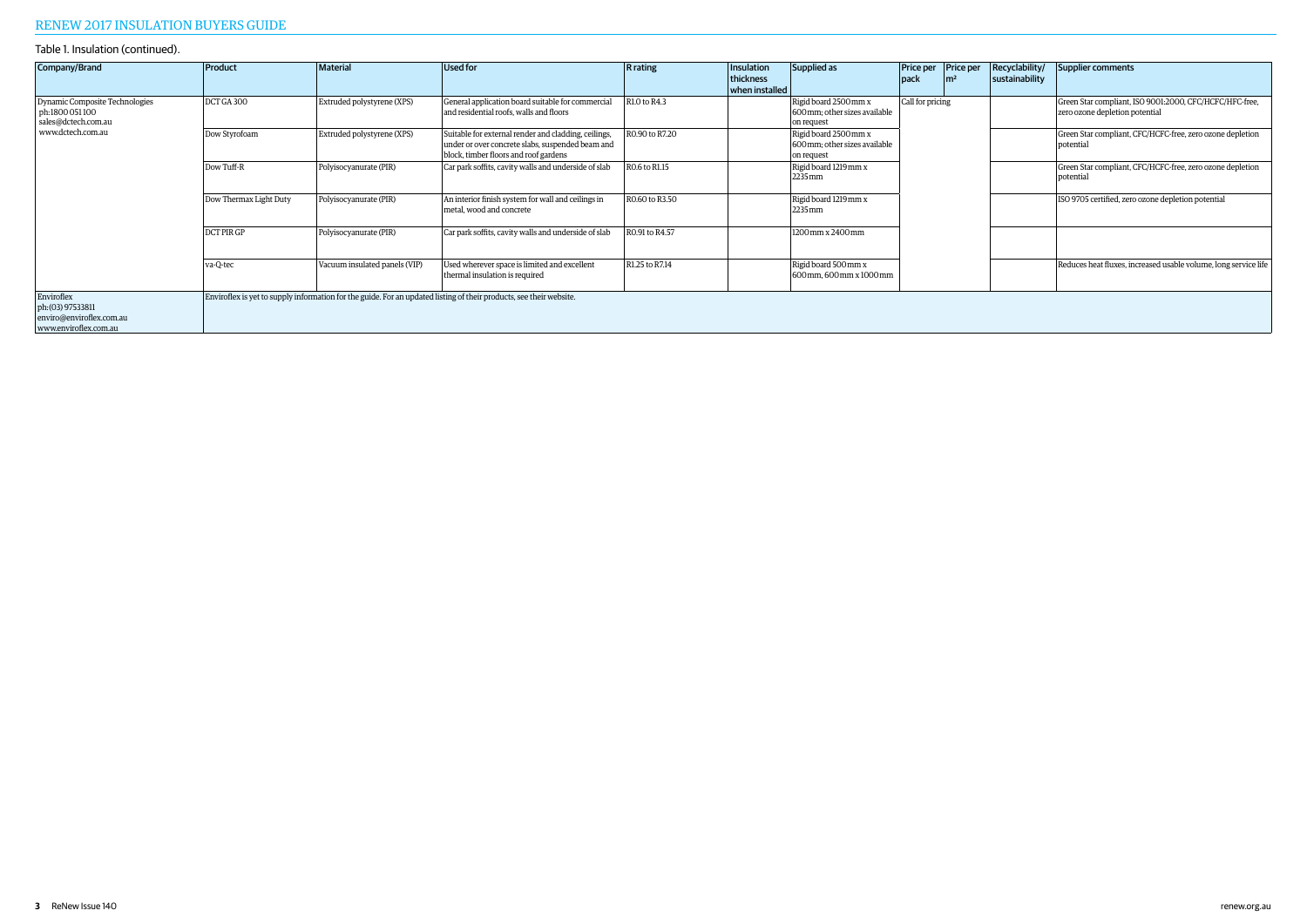| Company/Brand                                                                                 | Product                | Material                      | Used for                                                                                                                                          | <b>R</b> rating | Insulation<br>thickness<br>when installed | Supplied as                                                          | <b>pack</b>      | Price per Price per<br>$\mathsf{Im}^2$ | Recyclability/<br>sustainability                                | Supplier comments                                                                         |
|-----------------------------------------------------------------------------------------------|------------------------|-------------------------------|---------------------------------------------------------------------------------------------------------------------------------------------------|-----------------|-------------------------------------------|----------------------------------------------------------------------|------------------|----------------------------------------|-----------------------------------------------------------------|-------------------------------------------------------------------------------------------|
| Dynamic Composite Technologies<br>ph:1800 051 100<br>sales@dctech.com.au<br>www.dctech.com.au | DCT GA 300             | Extruded polystyrene (XPS)    | General application board suitable for commercial<br>and residential roofs, walls and floors                                                      | R1.0 to R4.3    |                                           | Rigid board 2500 mm x<br>600 mm; other sizes available<br>on request | Call for pricing |                                        |                                                                 | Green Star compliant, ISO 9001:2000, CFC/HCFC/HFC-free,<br>zero ozone depletion potential |
|                                                                                               | Dow Styrofoam          | Extruded polystyrene (XPS)    | Suitable for external render and cladding, ceilings,<br>under or over concrete slabs, suspended beam and<br>block, timber floors and roof gardens | R0.90 to R7.20  |                                           | Rigid board 2500 mm x<br>600mm: other sizes available<br>on request  |                  |                                        |                                                                 | Green Star compliant, CFC/HCFC-free, zero ozone depletion<br>potential                    |
|                                                                                               | Dow Tuff-R             | Polyisocyanurate (PIR)        | Car park soffits, cavity walls and underside of slab                                                                                              | R0.6 to R1.15   |                                           | Rigid board 1219mm x<br>2235mm                                       |                  |                                        |                                                                 | Green Star compliant, CFC/HCFC-free, zero ozone depletion<br>potential                    |
|                                                                                               | Dow Thermax Light Duty | Polyisocyanurate (PIR)        | An interior finish system for wall and ceilings in<br>metal, wood and concrete                                                                    | R0.60 to R3.50  |                                           | Rigid board 1219mm x<br>2235 mm                                      |                  |                                        | ISO 9705 certified, zero ozone depletion potential              |                                                                                           |
|                                                                                               | DCT PIR GP             | Polyisocyanurate (PIR)        | Car park soffits, cavity walls and underside of slab                                                                                              | R0.91 to R4.57  |                                           | 1200 mm x 2400 mm                                                    |                  |                                        |                                                                 |                                                                                           |
|                                                                                               | va-Q-tec               | Vacuum insulated panels (VIP) | Used wherever space is limited and excellent<br>thermal insulation is required                                                                    | R1.25 to R7.14  |                                           | Rigid board 500 mm x<br>600mm. 600mm x 1000mm                        |                  |                                        | Reduces heat fluxes, increased usable volume, long service life |                                                                                           |
| Enviroflex<br>ph: (03) 97533811<br>enviro@enviroflex.com.au<br>www.enviroflex.com.au          |                        |                               | Enviroflex is yet to supply information for the guide. For an updated listing of their products, see their website.                               |                 |                                           |                                                                      |                  |                                        |                                                                 |                                                                                           |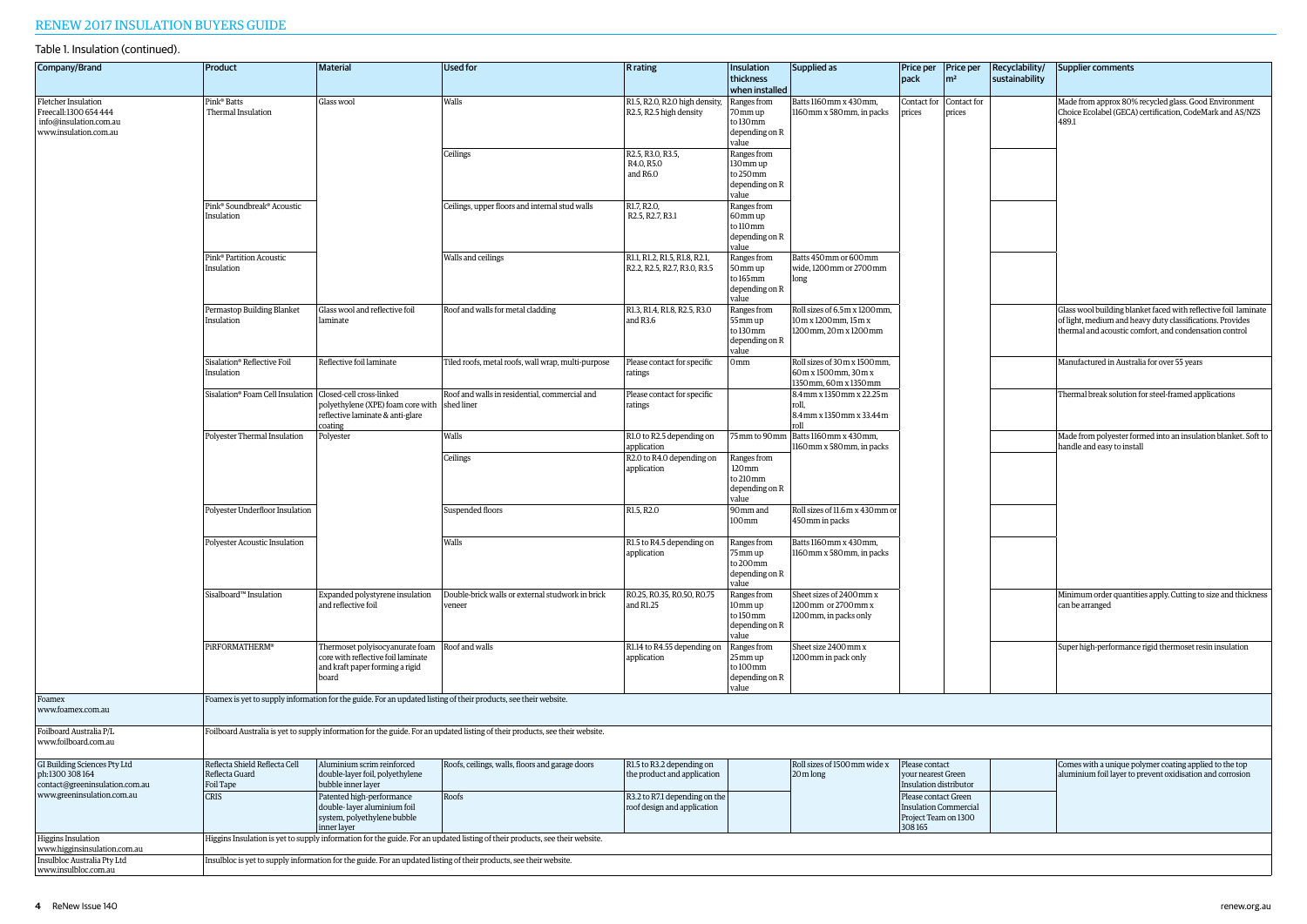| Company/Brand                                                                                                   | Product                                                          | <b>Material</b>                                                                                                   | <b>Used for</b>                                                                                                              | <b>R</b> rating                                               | Insulation<br>thickness                                                   | Supplied as                                                                      | pack                                                                                   | Price per   Price per<br>$\rm \mid m^2$ | Recyclability/<br>sustainability | Supplier comments                                                                                                                                                                      |  |
|-----------------------------------------------------------------------------------------------------------------|------------------------------------------------------------------|-------------------------------------------------------------------------------------------------------------------|------------------------------------------------------------------------------------------------------------------------------|---------------------------------------------------------------|---------------------------------------------------------------------------|----------------------------------------------------------------------------------|----------------------------------------------------------------------------------------|-----------------------------------------|----------------------------------|----------------------------------------------------------------------------------------------------------------------------------------------------------------------------------------|--|
|                                                                                                                 |                                                                  |                                                                                                                   |                                                                                                                              |                                                               | when installed                                                            |                                                                                  |                                                                                        |                                         |                                  |                                                                                                                                                                                        |  |
| Fletcher Insulation<br>Freecall: 1300 654 444<br>info@insulation.com.au<br>www.insulation.com.au                | Pink <sup>®</sup> Batts<br>Thermal Insulation                    | Glass wool                                                                                                        | Walls                                                                                                                        | R1.5, R2.0, R2.0 high density,<br>R2.5, R2.5 high density     | Ranges from<br>70mm up<br>to 130mm<br>depending on R<br>value             | Batts 1160mm x 430mm,<br>1160mm x 580mm, in packs                                | Contact for<br>prices                                                                  | Contact for<br>prices                   |                                  | Made from approx 80% recycled glass. Good Environment<br>Choice Ecolabel (GECA) certification, CodeMark and AS/NZS<br>489.1                                                            |  |
|                                                                                                                 |                                                                  |                                                                                                                   | Ceilings                                                                                                                     | R2.5, R3.0, R3.5,<br>R4.0, R5.0<br>and R6.0                   | Ranges from<br>130 mm up<br>to 250mm<br>depending on R<br>value           |                                                                                  |                                                                                        |                                         |                                  |                                                                                                                                                                                        |  |
|                                                                                                                 | Pink <sup>®</sup> Soundbreak <sup>®</sup> Acoustic<br>Insulation |                                                                                                                   |                                                                                                                              | Ceilings, upper floors and internal stud walls                | R1.7, R2.0,<br>R2.5, R2.7, R3.1                                           | Ranges from<br>60mm up<br>to 110 mm<br>depending on R<br>value                   |                                                                                        |                                         |                                  |                                                                                                                                                                                        |  |
|                                                                                                                 | Pink <sup>®</sup> Partition Acoustic<br>Insulation               |                                                                                                                   | Walls and ceilings                                                                                                           | R1.1, R1.2, R1.5, R1.8, R2.1,<br>R2.2, R2.5, R2.7, R3.0, R3.5 | Ranges from<br>50mm up<br>to 165mm<br>depending on R<br>value             | Batts 450mm or 600mm<br>wide, 1200mm or 2700mm<br>long                           |                                                                                        |                                         |                                  |                                                                                                                                                                                        |  |
|                                                                                                                 | <b>Permastop Building Blanket</b><br>Insulation                  | Glass wool and reflective foil<br>laminate                                                                        | Roof and walls for metal cladding                                                                                            | R1.3, R1.4, R1.8, R2.5, R3.0<br>and R3.6                      | Ranges from<br>55 mm up<br>to 130mm<br>depending on R<br>value            | Roll sizes of 6.5m x 1200 mm,<br>10m x 1200 mm, 15m x<br>1200 mm, 20 m x 1200 mm |                                                                                        |                                         |                                  | Glass wool building blanket faced with reflective foil laminate<br>of light, medium and heavy duty classifications. Provides<br>thermal and acoustic comfort, and condensation control |  |
|                                                                                                                 | Sisalation® Reflective Foil<br>Insulation                        | Reflective foil laminate                                                                                          | Tiled roofs, metal roofs, wall wrap, multi-purpose                                                                           | Please contact for specific<br>ratings                        | 0 <sub>mm</sub>                                                           | Roll sizes of 30 m x 1500 mm.<br>60m x 1500mm, 30m x<br>1350 mm, 60 m x 1350 mm  |                                                                                        |                                         |                                  | Manufactured in Australia for over 55 years                                                                                                                                            |  |
|                                                                                                                 | Sisalation® Foam Cell Insulation   Closed-cell cross-linked      | polyethylene (XPE) foam core with<br>reflective laminate & anti-glare<br>coating                                  | Roof and walls in residential, commercial and<br>shed liner                                                                  | Please contact for specific<br>ratings                        |                                                                           | 8.4mm x 1350mm x 22.25m<br>roll.<br>8.4mm x 1350mm x 33.44m<br>roll              |                                                                                        |                                         |                                  | Thermal break solution for steel-framed applications                                                                                                                                   |  |
|                                                                                                                 | Polyester Thermal Insulation                                     | Polyester                                                                                                         | Walls                                                                                                                        | R1.0 to R2.5 depending on<br>application                      | 75mm to 90mm                                                              | Batts 1160mm x 430mm,<br>1160mm x 580mm, in packs                                |                                                                                        |                                         |                                  | Made from polyester formed into an insulation blanket. Soft to<br>handle and easy to install                                                                                           |  |
|                                                                                                                 |                                                                  |                                                                                                                   | Ceilings                                                                                                                     | R2.0 to R4.0 depending on<br>application                      | Ranges from<br>$120 \,\mathrm{mm}$<br>to 210mm<br>depending on R<br>value |                                                                                  |                                                                                        |                                         |                                  |                                                                                                                                                                                        |  |
|                                                                                                                 | Polyester Underfloor Insulation                                  |                                                                                                                   | Suspended floors                                                                                                             | R1.5, R2.0                                                    | 90mm and<br>100mm                                                         | Roll sizes of 11.6 m x 430 mm or<br>450mm in packs                               |                                                                                        |                                         |                                  |                                                                                                                                                                                        |  |
|                                                                                                                 | Polyester Acoustic Insulation                                    |                                                                                                                   | Walls                                                                                                                        | R1.5 to R4.5 depending on<br>application                      | Ranges from<br>75mm up<br>to 200mm<br>depending on R<br>value             | Batts 1160mm x 430mm,<br>1160mm x 580mm, in packs                                |                                                                                        |                                         |                                  |                                                                                                                                                                                        |  |
|                                                                                                                 | Sisalboard™ Insulation                                           | Expanded polystyrene insulation<br>and reflective foil                                                            | Double-brick walls or external studwork in brick<br>veneer                                                                   | RO.25, RO.35, RO.50, RO.75<br>and R1.25                       | Ranges from<br>10mm up<br>to 150mm<br>depending on R<br>value             | Sheet sizes of 2400 mm x<br>1200 mm or 2700 mm x<br>1200 mm, in packs only       |                                                                                        |                                         |                                  | Minimum order quantities apply. Cutting to size and thickness<br>can be arranged                                                                                                       |  |
|                                                                                                                 | PIRFORMATHERM®                                                   | Thermoset polyisocyanurate foam<br>core with reflective foil laminate<br>and kraft paper forming a rigid<br>board | Roof and walls                                                                                                               | R1.14 to R4.55 depending on<br>application                    | Ranges from<br>25mm up<br>to 100mm<br>depending on R<br>value             | Sheet size 2400 mm x<br>1200 mm in pack only                                     |                                                                                        |                                         |                                  | Super high-performance rigid thermoset resin insulation                                                                                                                                |  |
| Foamex<br>www.foamex.com.au                                                                                     |                                                                  |                                                                                                                   | Foamex is yet to supply information for the guide. For an updated listing of their products, see their website.              |                                                               |                                                                           |                                                                                  |                                                                                        |                                         |                                  |                                                                                                                                                                                        |  |
| Foilboard Australia P/L<br>www.foilboard.com.au                                                                 |                                                                  |                                                                                                                   | Foilboard Australia is yet to supply information for the guide. For an updated listing of their products, see their website. |                                                               |                                                                           |                                                                                  |                                                                                        |                                         |                                  |                                                                                                                                                                                        |  |
| GI Building Sciences Pty Ltd<br>ph:1300 308 164<br>contact@greeninsulation.com.au<br>www.greeninsulation.com.au | Reflecta Shield Reflecta Cell<br>Reflecta Guard<br>Foil Tape     | Aluminium scrim reinforced<br>double-layer foil, polyethylene<br>bubble inner layer                               | Roofs, ceilings, walls, floors and garage doors                                                                              | R1.5 to R3.2 depending on<br>the product and application      |                                                                           | Roll sizes of 1500mm wide x<br>20m long                                          | Please contact<br>your nearest Green<br>Insulation distributor                         |                                         |                                  | Comes with a unique polymer coating applied to the top<br>aluminium foil layer to prevent oxidisation and corrosion                                                                    |  |
|                                                                                                                 | <b>CRIS</b>                                                      | Patented high-performance<br>double-layer aluminium foil<br>system, polyethylene bubble<br>inner layer            | Roofs                                                                                                                        | R3.2 to R7.1 depending on the<br>roof design and application  |                                                                           |                                                                                  | Please contact Green<br><b>Insulation Commercial</b><br>Project Team on 1300<br>308165 |                                         |                                  |                                                                                                                                                                                        |  |
| Higgins Insulation<br>www.higginsinsulation.com.au                                                              |                                                                  |                                                                                                                   | Higgins Insulation is yet to supply information for the guide. For an updated listing of their products, see their website.  |                                                               |                                                                           |                                                                                  |                                                                                        |                                         |                                  |                                                                                                                                                                                        |  |
| Insulbloc Australia Pty Ltd<br>www.insulbloc.com.au                                                             |                                                                  |                                                                                                                   | Insulbloc is yet to supply information for the guide. For an updated listing of their products, see their website.           |                                                               |                                                                           |                                                                                  |                                                                                        |                                         |                                  |                                                                                                                                                                                        |  |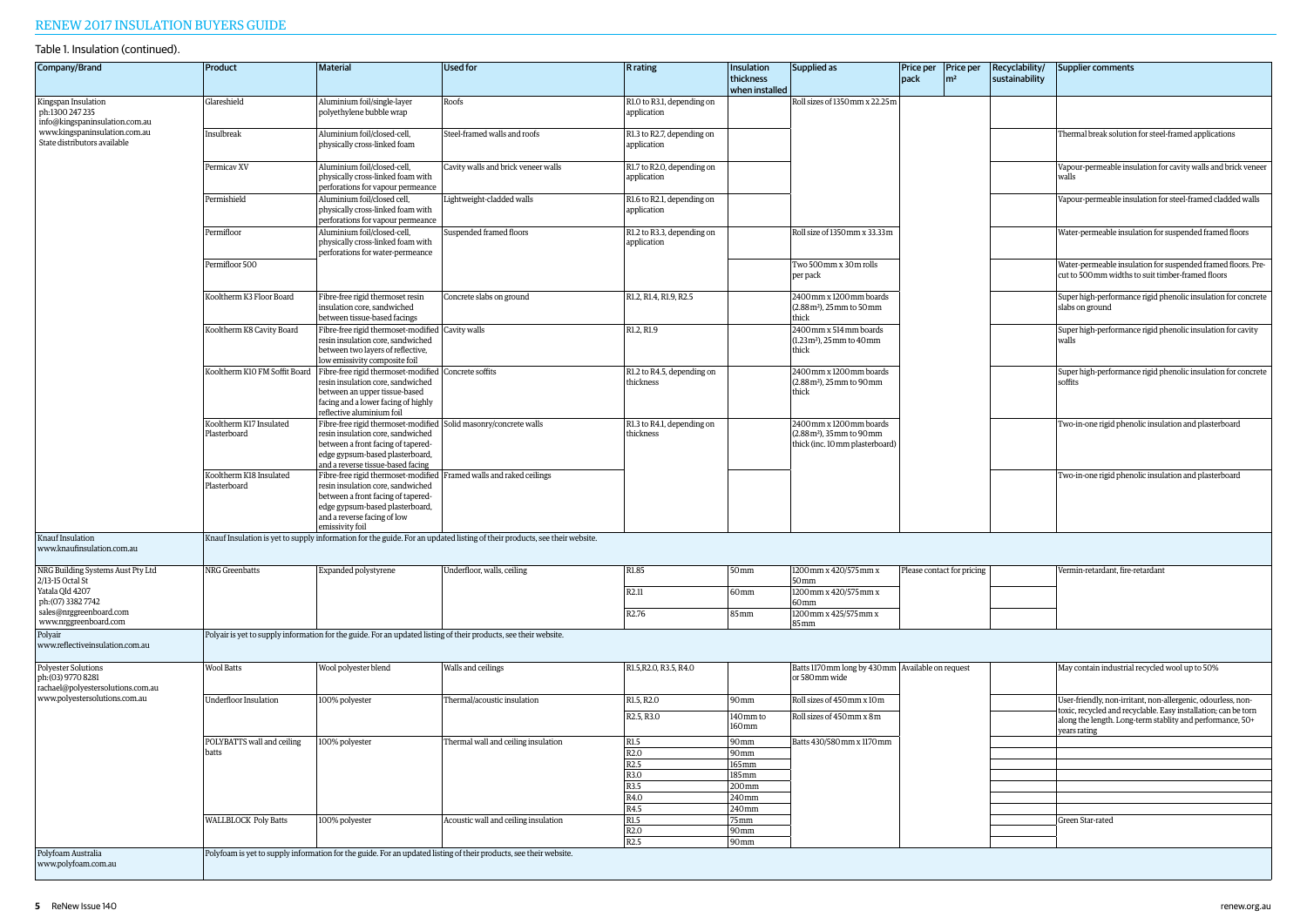| Company/Brand                                                                  | Product                                 | <b>Material</b>                                                                                                                                                                                                                       | <b>Used for</b>                                                                                                           | <b>R</b> rating                           | Insulation<br>thickness<br>when installed | Supplied as                                                                                      | Price per<br>pack          | <b>Price per</b><br>$\rm{m}^2$ | Recyclability/<br>sustainability | Supplier comments                                                                                                                           |
|--------------------------------------------------------------------------------|-----------------------------------------|---------------------------------------------------------------------------------------------------------------------------------------------------------------------------------------------------------------------------------------|---------------------------------------------------------------------------------------------------------------------------|-------------------------------------------|-------------------------------------------|--------------------------------------------------------------------------------------------------|----------------------------|--------------------------------|----------------------------------|---------------------------------------------------------------------------------------------------------------------------------------------|
| Kingspan Insulation<br>ph:1300 247 235<br>info@kingspaninsulation.com.au       | Glareshield                             | Aluminium foil/single-layer<br>polyethylene bubble wrap                                                                                                                                                                               | Roofs                                                                                                                     | R1.0 to R3.1, depending on<br>application |                                           | Roll sizes of 1350 mm x 22.25m                                                                   |                            |                                |                                  |                                                                                                                                             |
| www.kingspaninsulation.com.au<br>State distributors available                  | Insulbreak                              | Aluminium foil/closed-cell,<br>physically cross-linked foam                                                                                                                                                                           | Steel-framed walls and roofs                                                                                              | R1.3 to R2.7, depending on<br>application |                                           |                                                                                                  |                            |                                |                                  | Thermal break solution for steel-framed applications                                                                                        |
|                                                                                | Permicav XV                             | Aluminium foil/closed-cell,<br>physically cross-linked foam with<br>perforations for vapour permeance                                                                                                                                 | Cavity walls and brick veneer walls                                                                                       | R1.7 to R2.0, depending on<br>application |                                           |                                                                                                  |                            |                                |                                  | Vapour-permeable insulation for cavity walls and brick veneer<br>walls                                                                      |
|                                                                                | Permishield                             | Aluminium foil/closed cell,<br>physically cross-linked foam with<br>perforations for vapour permeance                                                                                                                                 | Lightweight-cladded walls                                                                                                 | R1.6 to R2.1, depending on<br>application |                                           |                                                                                                  |                            |                                |                                  | Vapour-permeable insulation for steel-framed cladded walls                                                                                  |
|                                                                                | Permifloor                              | Aluminium foil/closed-cell,<br>physically cross-linked foam with<br>perforations for water-permeance                                                                                                                                  | Suspended framed floors                                                                                                   | R1.2 to R3.3, depending on<br>application |                                           | Roll size of 1350 mm x 33.33 m                                                                   |                            |                                |                                  | Water-permeable insulation for suspended framed floors                                                                                      |
|                                                                                | Permifloor 500                          |                                                                                                                                                                                                                                       |                                                                                                                           |                                           |                                           | Two 500mm x 30m rolls<br>per pack                                                                |                            |                                |                                  | Water-permeable insulation for suspended framed floors. Pre-<br>cut to 500mm widths to suit timber-framed floors                            |
|                                                                                | Kooltherm K3 Floor Board                | Fibre-free rigid thermoset resin<br>insulation core, sandwiched<br>between tissue-based facings                                                                                                                                       | Concrete slabs on ground                                                                                                  | R1.2, R1.4, R1.9, R2.5                    |                                           | 2400mm x 1200mm boards<br>(2.88m <sup>2</sup> ), 25mm to 50mm<br>thick                           |                            |                                |                                  | Super high-performance rigid phenolic insulation for concrete<br>slabs on ground                                                            |
|                                                                                | Kooltherm K8 Cavity Board               | Fibre-free rigid thermoset-modified Cavity walls<br>resin insulation core, sandwiched<br>between two layers of reflective,<br>low emissivity composite foil                                                                           |                                                                                                                           | R1.2, R1.9                                |                                           | 2400mm x 514mm boards<br>(1.23m <sup>2</sup> ), 25mm to 40mm<br>thick                            |                            |                                |                                  | Super high-performance rigid phenolic insulation for cavity<br>walls                                                                        |
|                                                                                |                                         | Kooltherm K10 FM Soffit Board Fibre-free rigid thermoset-modified Concrete soffits<br>resin insulation core, sandwiched<br>between an upper tissue-based<br>facing and a lower facing of highly<br>reflective aluminium foil          |                                                                                                                           | R1.2 to R4.5, depending on<br>thickness   |                                           | 2400mm x 1200mm boards<br>(2.88m <sup>2</sup> ), 25mm to 90mm<br>thick                           |                            |                                |                                  | Super high-performance rigid phenolic insulation for concrete<br>soffits                                                                    |
|                                                                                | Kooltherm K17 Insulated<br>Plasterboard | Fibre-free rigid thermoset-modified Solid masonry/concrete walls<br>resin insulation core, sandwiched<br>between a front facing of tapered-<br>edge gypsum-based plasterboard,<br>and a reverse tissue-based facing                   |                                                                                                                           | R1.3 to R4.1, depending on<br>thickness   |                                           | 2400mm x 1200mm boards<br>(2.88m <sup>2</sup> ), 35mm to 90mm<br>thick (inc. 10 mm plasterboard) |                            |                                |                                  | Two-in-one rigid phenolic insulation and plasterboard                                                                                       |
|                                                                                | Kooltherm K18 Insulated<br>Plasterboard | Fibre-free rigid thermoset-modified   Framed walls and raked ceilings<br>resin insulation core, sandwiched<br>between a front facing of tapered-<br>edge gypsum-based plasterboard,<br>and a reverse facing of low<br>emissivity foil |                                                                                                                           |                                           |                                           |                                                                                                  |                            |                                |                                  | Two-in-one rigid phenolic insulation and plasterboard                                                                                       |
| Knauf Insulation<br>www.knaufinsulation.com.au                                 |                                         |                                                                                                                                                                                                                                       | Knauf Insulation is yet to supply information for the guide. For an updated listing of their products, see their website. |                                           |                                           |                                                                                                  |                            |                                |                                  |                                                                                                                                             |
| NRG Building Systems Aust Pty Ltd<br>2/13-15 Octal St<br>Yatala Qld 4207       | NRG Greenbatts                          | Expanded polystyrene                                                                                                                                                                                                                  | Underfloor, walls, ceiling                                                                                                | R1.85<br>R2.11                            | 50 <sub>mm</sub><br>60 <sub>mm</sub>      | 1200 mm x 420/575 mm x<br>50mm<br>1200 mm x 420/575 mm x                                         | Please contact for pricing |                                |                                  | Vermin-retardant, fire-retardant                                                                                                            |
| ph: (07) 3382 7742<br>sales@nrggreenboard.com<br>www.nrggreenboard.com         |                                         |                                                                                                                                                                                                                                       |                                                                                                                           | R <sub>2.76</sub>                         | 85mm                                      | 60 <sub>mm</sub><br>1200 mm x 425/575 mm x<br>85 <sub>mm</sub>                                   |                            |                                |                                  |                                                                                                                                             |
| Polyair<br>www.reflectiveinsulation.com.au                                     |                                         | Polyair is yet to supply information for the guide. For an updated listing of their products, see their website.                                                                                                                      |                                                                                                                           |                                           |                                           |                                                                                                  |                            |                                |                                  |                                                                                                                                             |
| Polyester Solutions<br>ph: (03) 9770 8281<br>rachael@polyestersolutions.com.au | <b>Wool Batts</b>                       | Wool polyester blend                                                                                                                                                                                                                  | Walls and ceilings                                                                                                        | R1.5, R2.0, R3.5, R4.0                    |                                           | Batts 1170mm long by 430mm   Available on request<br>or 580mm wide                               |                            |                                |                                  | May contain industrial recycled wool up to 50%                                                                                              |
| www.polyestersolutions.com.au                                                  | <b>Underfloor Insulation</b>            | 100% polyester                                                                                                                                                                                                                        | Thermal/acoustic insulation                                                                                               | R1.5, R2.0                                | 90 <sub>mm</sub>                          | Roll sizes of 450mm x 10m                                                                        |                            |                                |                                  | User-friendly, non-irritant, non-allergenic, odourless, non-                                                                                |
|                                                                                |                                         |                                                                                                                                                                                                                                       |                                                                                                                           | R <sub>2.5</sub> , R <sub>3.0</sub>       | 140mm to<br>160 <sub>mm</sub>             | Roll sizes of 450mm x 8m                                                                         |                            |                                |                                  | toxic, recycled and recyclable. Easy installation; can be torn<br>along the length. Long-term stablity and performance, 50+<br>years rating |
|                                                                                | POLYBATTS wall and ceiling<br>batts     | 100% polyester                                                                                                                                                                                                                        | Thermal wall and ceiling insulation                                                                                       | R1.5<br>R <sub>2.0</sub>                  | 90mm<br>90 <sub>mm</sub>                  | Batts 430/580mm x 1170mm                                                                         |                            |                                |                                  |                                                                                                                                             |
|                                                                                |                                         |                                                                                                                                                                                                                                       |                                                                                                                           | R2.5                                      | 165 mm                                    |                                                                                                  |                            |                                |                                  |                                                                                                                                             |
|                                                                                |                                         |                                                                                                                                                                                                                                       |                                                                                                                           | R3.0                                      | 185mm                                     |                                                                                                  |                            |                                |                                  |                                                                                                                                             |
|                                                                                |                                         |                                                                                                                                                                                                                                       |                                                                                                                           | R3.5<br>R4.0                              | 200mm<br>240mm                            |                                                                                                  |                            |                                |                                  |                                                                                                                                             |
|                                                                                |                                         |                                                                                                                                                                                                                                       |                                                                                                                           | R4.5                                      | 240mm                                     |                                                                                                  |                            |                                |                                  |                                                                                                                                             |
|                                                                                | <b>WALLBLOCK Poly Batts</b>             | 100% polyester                                                                                                                                                                                                                        | Acoustic wall and ceiling insulation                                                                                      | R1.5                                      | 75mm                                      |                                                                                                  |                            |                                |                                  | Green Star-rated                                                                                                                            |
|                                                                                |                                         |                                                                                                                                                                                                                                       |                                                                                                                           | R <sub>2.0</sub><br>R2.5                  | 90mm<br>90mm                              |                                                                                                  |                            |                                |                                  |                                                                                                                                             |
| Polyfoam Australia<br>www.polyfoam.com.au                                      |                                         |                                                                                                                                                                                                                                       | Polyfoam is yet to supply information for the guide. For an updated listing of their products, see their website.         |                                           |                                           |                                                                                                  |                            |                                |                                  |                                                                                                                                             |